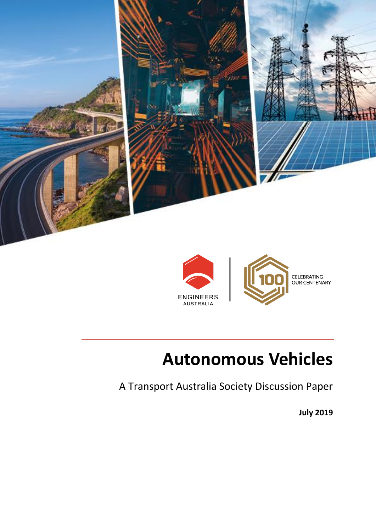



## **Autonomous Vehicles**

A Transport Australia Society Discussion Paper

**July 2019**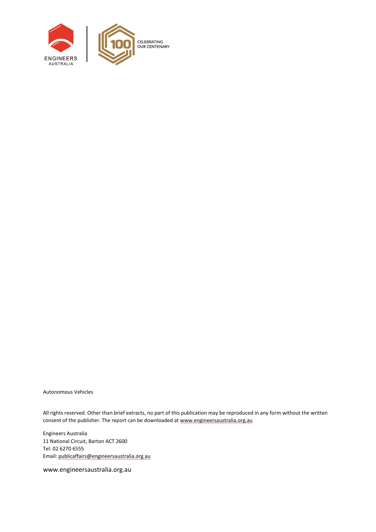

Autonomous Vehicles

All rights reserved. Other than brief extracts, no part of this publication may be reproduced in any form without the written consent of the publisher. The report can be downloaded a[t www.engineersaustralia.org.au](file://///EACBR-FILES/Volumes/eacbr-files.DATA/national/IEAust/Shared/MarkComm/_EA%20GRAPHIC%20DESIGN/P/Policy/660610%20Policy%20Report%20-%20Word%20Template%20Update/Working/www.engineersaustralia.org.au)

Engineers Australia 11 National Circuit, Barton ACT 2600 Tel: 02 6270 6555 Email[: publicaffairs@engineersaustralia.org.au](mailto:publicaffairs@engineersaustralia.org.au)

www.engineersaustralia.org.au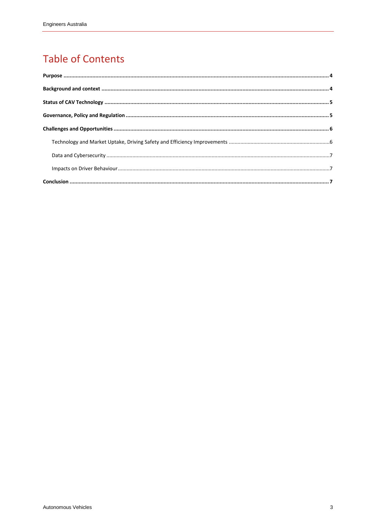#### **Table of Contents**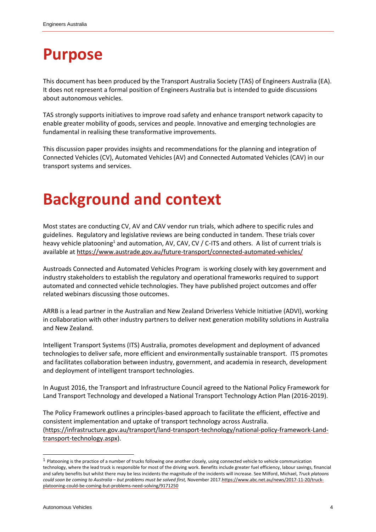### <span id="page-3-0"></span>**Purpose**

This document has been produced by the Transport Australia Society (TAS) of Engineers Australia (EA). It does not represent a formal position of Engineers Australia but is intended to guide discussions about autonomous vehicles.

TAS strongly supports initiatives to improve road safety and enhance transport network capacity to enable greater mobility of goods, services and people. Innovative and emerging technologies are fundamental in realising these transformative improvements.

This discussion paper provides insights and recommendations for the planning and integration of Connected Vehicles (CV), Automated Vehicles (AV) and Connected Automated Vehicles (CAV) in our transport systems and services.

### <span id="page-3-1"></span>**Background and context**

Most states are conducting CV, AV and CAV vendor run trials, which adhere to specific rules and guidelines. Regulatory and legislative reviews are being conducted in tandem. These trials cover heavy vehicle platooning<sup>1</sup> and automation, AV, CAV, CV / C-ITS and others. A list of current trials is available a[t https://www.austrade.gov.au/future-transport/connected-automated-vehicles/](https://www.austrade.gov.au/future-transport/connected-automated-vehicles/)

[Austroads Connected and Automated Vehicles Program](https://austroads.com.au/publications) is working closely with key government and industry stakeholders to establish the regulatory and operational frameworks required to support automated and connected vehicle technologies. They have published project outcomes and offer related webinars discussing those outcomes.

ARRB is a lead partner in the Australian and New Zealan[d Driverless Vehicle Initiative \(ADVI\),](https://www.arrb.com.au/latest-research) working in collaboration with other industry partners to deliver next generation mobility solutions in Australia and New Zealand.

Intelligent Transport Systems (ITS) Australia, promotes development and deployment of advanced technologies to deliver safe, more efficient and environmentally sustainable transport. ITS promotes and facilitates collaboration between industry, government, and academia in research, development and deployment of intelligent transport technologies.

In August 2016, the Transport and Infrastructure Council agreed to the National Policy Framework for Land Transport Technology and developed a National Transport Technology Action Plan (2016-2019).

The Policy Framework outlines a principles-based approach to facilitate the efficient, effective and consistent implementation and uptake of transport technology across Australia. [\(https://infrastructure.gov.au/transport/land-transport-technology/national-policy-framework-Land](https://infrastructure.gov.au/transport/land-transport-technology/national-policy-framework-Land-transport-technology.aspx)[transport-technology.aspx\)](https://infrastructure.gov.au/transport/land-transport-technology/national-policy-framework-Land-transport-technology.aspx).

l

 $1$  Platooning is the practice of a number of trucks following one another closely, using connected vehicle to vehicle communication technology, where the lead truck is responsible for most of the driving work. Benefits include greater fuel efficiency, labour savings, financial and safety benefits but whilst there may be less incidents the magnitude of the incidents will increase. See Milford, Michael, *Truck platoons could soon be coming to Australia – but problems must be solved first,* November 201[7.https://www.abc.net.au/news/2017-11-20/truck](https://www.abc.net.au/news/2017-11-20/truck-platooning-could-be-coming-but-problems-need-solving/9171250)[platooning-could-be-coming-but-problems-need-solving/9171250](https://www.abc.net.au/news/2017-11-20/truck-platooning-could-be-coming-but-problems-need-solving/9171250)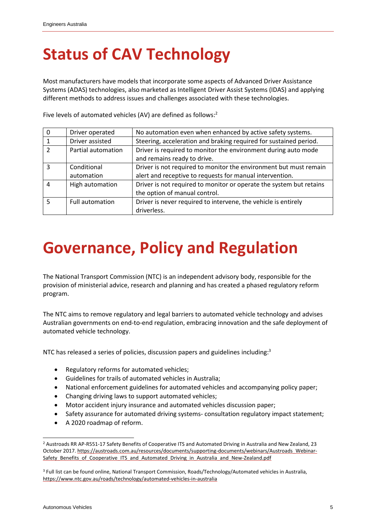# <span id="page-4-0"></span>**Status of CAV Technology**

Most manufacturers have models that incorporate some aspects of Advanced Driver Assistance Systems (ADAS) technologies, also marketed as Intelligent Driver Assist Systems (IDAS) and applying different methods to address issues and challenges associated with these technologies.

| $\mathbf 0$              | Driver operated           | No automation even when enhanced by active safety systems.                                                                    |
|--------------------------|---------------------------|-------------------------------------------------------------------------------------------------------------------------------|
| $\mathbf{1}$             | Driver assisted           | Steering, acceleration and braking required for sustained period.                                                             |
| $\overline{\phantom{a}}$ | Partial automation        | Driver is required to monitor the environment during auto mode<br>and remains ready to drive.                                 |
| 3                        | Conditional<br>automation | Driver is not required to monitor the environment but must remain<br>alert and receptive to requests for manual intervention. |
| $\boldsymbol{\Lambda}$   | High automation           | Driver is not required to monitor or operate the system but retains<br>the option of manual control.                          |
| $\overline{5}$           | <b>Full automation</b>    | Driver is never required to intervene, the vehicle is entirely<br>driverless.                                                 |

Five levels of automated vehicles (AV) are defined as follows:<sup>2</sup>

## <span id="page-4-1"></span>**Governance, Policy and Regulation**

The [National Transport Commission \(NTC\)](https://www.ntc.gov.au/) is an independent advisory body, responsible for the provision of ministerial advice, research and planning and has created a phased regulatory reform program.

The NTC aims to remove regulatory and legal barriers to automated vehicle technology and advises Australian governments on end-to-end regulation, embracing innovation and the safe deployment of automated vehicle technology.

NTC has released a series of policies, discussion papers and guidelines including:<sup>3</sup>

- Regulatory reforms for automated vehicles;
- Guidelines for trails of automated vehicles in Australia;
- National enforcement guidelines for automated vehicles and accompanying policy paper;
- Changing driving laws to support automated vehicles;
- Motor accident injury insurance and automated vehicles discussion paper;
- Safety assurance for automated driving systems-consultation regulatory impact statement;
- A 2020 roadmap of reform.

l

<sup>2</sup> Austroads RR AP-R551-17 Safety Benefits of Cooperative ITS and Automated Driving in Australia and New Zealand, 23 October 2017[. https://austroads.com.au/resources/documents/supporting-documents/webinars/Austroads\\_Webinar-](https://austroads.com.au/resources/documents/supporting-documents/webinars/Austroads_Webinar-Safety_Benefits_of_Cooperative_ITS_and_Automated_Driving_in_Australia_and_New-Zealand.pdf)[Safety\\_Benefits\\_of\\_Cooperative\\_ITS\\_and\\_Automated\\_Driving\\_in\\_Australia\\_and\\_New-Zealand.pdf](https://austroads.com.au/resources/documents/supporting-documents/webinars/Austroads_Webinar-Safety_Benefits_of_Cooperative_ITS_and_Automated_Driving_in_Australia_and_New-Zealand.pdf)

<sup>3</sup> Full list can be found online, National Transport Commission, Roads/Technology/Automated vehicles in Australia, [https://www.ntc.gov.au/roads/technology/automated-vehicles-in-australia](https://www.ntc.gov.au/roads/technology/automated-vehicles-in-australia/#Completed)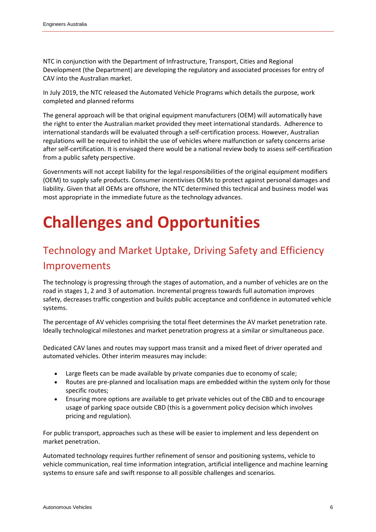NTC in conjunction with the Department of Infrastructure, Transport, Cities and Regional Development (the Department) are developing the regulatory and associated processes for entry of CAV into the Australian market.

In July 2019, the NTC released the Automated Vehicle Programs which details the purpose, work completed and planned reforms

The general approach will be that original equipment manufacturers (OEM) will automatically have the right to enter the Australian market provided they meet international standards. Adherence to international standards will be evaluated through a self-certification process. However, Australian regulations will be required to inhibit the use of vehicles where malfunction or safety concerns arise after self-certification. It is envisaged there would be a national review body to assess self-certification from a public safety perspective.

Governments will not accept liability for the legal responsibilities of the original equipment modifiers (OEM) to supply safe products. Consumer incentivises OEMs to protect against personal damages and liability. Given that all OEMs are offshore, the NTC determined this technical and business model was most appropriate in the immediate future as the technology advances.

# <span id="page-5-0"></span>**Challenges and Opportunities**

#### <span id="page-5-1"></span>Technology and Market Uptake, Driving Safety and Efficiency Improvements

The technology is progressing through the stages of automation, and a number of vehicles are on the road in stages 1, 2 and 3 of automation. Incremental progress towards full automation improves safety, decreases traffic congestion and builds public acceptance and confidence in automated vehicle systems.

The percentage of AV vehicles comprising the total fleet determines the AV market penetration rate. Ideally technological milestones and market penetration progress at a similar or simultaneous pace.

Dedicated CAV lanes and routes may support mass transit and a mixed fleet of driver operated and automated vehicles. Other interim measures may include:

- Large fleets can be made available by private companies due to economy of scale;
- Routes are pre-planned and localisation maps are embedded within the system only for those specific routes;
- Ensuring more options are available to get private vehicles out of the CBD and to encourage usage of parking space outside CBD (this is a government policy decision which involves pricing and regulation).

For public transport, approaches such as these will be easier to implement and less dependent on market penetration.

Automated technology requires further refinement of sensor and positioning systems, vehicle to vehicle communication, real time information integration, artificial intelligence and machine learning systems to ensure safe and swift response to all possible challenges and scenarios.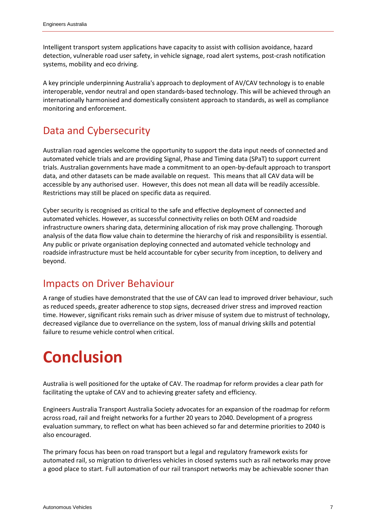Intelligent transport system applications have capacity to assist with collision avoidance, hazard detection, vulnerable road user safety, in vehicle signage, road alert systems, post-crash notification systems, mobility and eco driving.

A key principle underpinning Australia's approach to deployment of AV/CAV technology is to enable interoperable, vendor neutral and open standards-based technology. This will be achieved through an internationally harmonised and domestically consistent approach to standards, as well as compliance monitoring and enforcement.

#### <span id="page-6-0"></span>Data and Cybersecurity

Australian road agencies welcome the opportunity to support the data input needs of connected and automated vehicle trials and are providing Signal, Phase and Timing data (SPaT) to support current trials. Australian governments have made a commitment to an open-by-default approach to transport data, and other datasets can be made available on request. This means that all CAV data will be accessible by any authorised user. However, this does not mean all data will be readily accessible. Restrictions may still be placed on specific data as required.

Cyber security is recognised as critical to the safe and effective deployment of connected and automated vehicles. However, as successful connectivity relies on both OEM and roadside infrastructure owners sharing data, determining allocation of risk may prove challenging. Thorough analysis of the data flow value chain to determine the hierarchy of risk and responsibility is essential. Any public or private organisation deploying connected and automated vehicle technology and roadside infrastructure must be held accountable for cyber security from inception, to delivery and beyond.

#### <span id="page-6-1"></span>Impacts on Driver Behaviour

A range of studies have demonstrated that the use of CAV can lead to improved driver behaviour, such as reduced speeds, greater adherence to stop signs, decreased driver stress and improved reaction time. However, significant risks remain such as driver misuse of system due to mistrust of technology, decreased vigilance due to overreliance on the system, loss of manual driving skills and potential failure to resume vehicle control when critical.

## <span id="page-6-2"></span>**Conclusion**

Australia is well positioned for the uptake of CAV. The roadmap for reform provides a clear path for facilitating the uptake of CAV and to achieving greater safety and efficiency.

Engineers Australia Transport Australia Society advocates for an expansion of the roadmap for reform across road, rail and freight networks for a further 20 years to 2040. Development of a progress evaluation summary, to reflect on what has been achieved so far and determine priorities to 2040 is also encouraged.

The primary focus has been on road transport but a legal and regulatory framework exists for automated rail, so migration to driverless vehicles in closed systems such as rail networks may prove a good place to start. Full automation of our rail transport networks may be achievable sooner than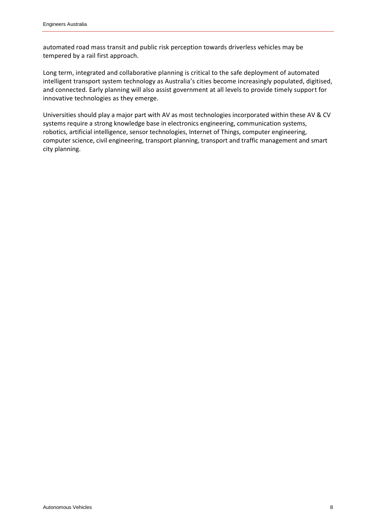automated road mass transit and public risk perception towards driverless vehicles may be tempered by a rail first approach.

Long term, integrated and collaborative planning is critical to the safe deployment of automated intelligent transport system technology as Australia's cities become increasingly populated, digitised, and connected. Early planning will also assist government at all levels to provide timely support for innovative technologies as they emerge.

Universities should play a major part with AV as most technologies incorporated within these AV & CV systems require a strong knowledge base in electronics engineering, communication systems, robotics, artificial intelligence, sensor technologies, Internet of Things, computer engineering, computer science, civil engineering, transport planning, transport and traffic management and smart city planning.